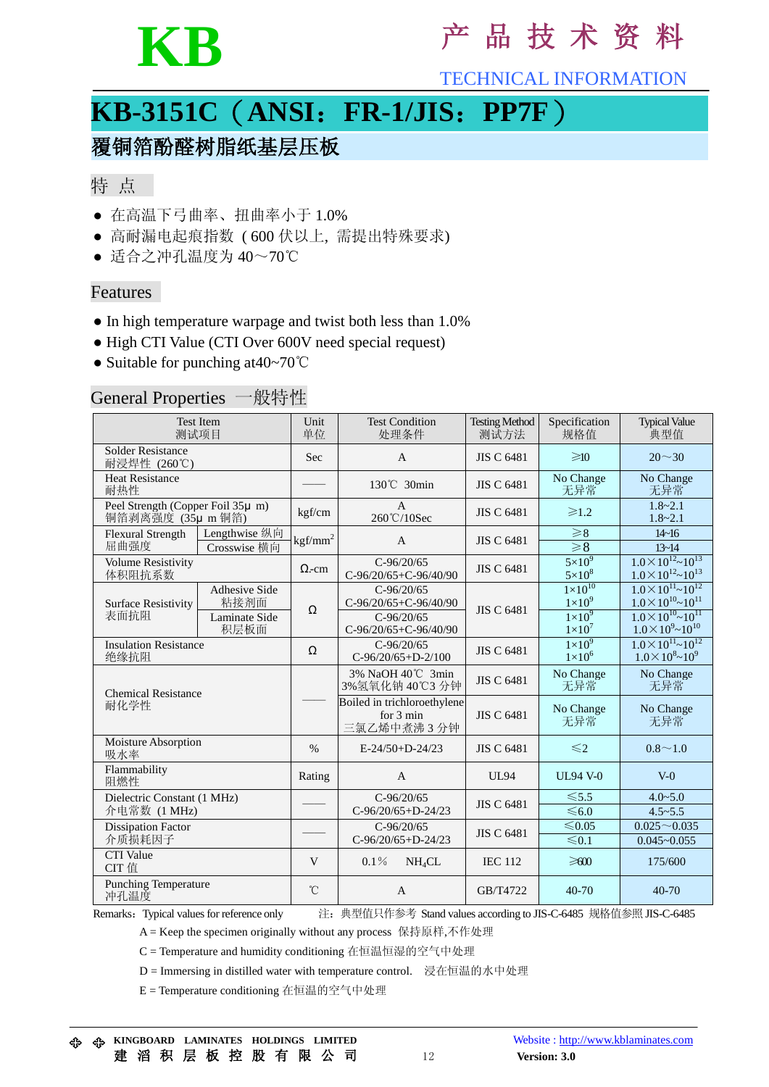

## **KB** <sup>产</sup> <sup>品</sup> <sup>技</sup> <sup>术</sup> <sup>资</sup> <sup>料</sup>

TECHNICAL INFORMATION

## **KB-3151C**(**ANSI**:**FR-1/JIS**:**PP7F**)

## 覆铜箔酚醛树脂纸基层压板

#### 特 点

- 在高温下弓曲率、扭曲率小于 1.0%
- 高耐漏电起痕指数 ( 600 伏以上, 需提出特殊要求)
- 适合之冲孔温度为 40~70℃

#### Features

- In high temperature warpage and twist both less than 1.0%
- High CTI Value (CTI Over 600V need special request)
- Suitable for punching at40~70℃

### General Properties 一般特性

| <b>Test Item</b><br>测试项目                               |                                                | Unit<br>单位        | <b>Test Condition</b><br>处理条件                                                  | <b>Testing Method</b><br>测试方法 | Specification<br>规格值                                                    | <b>Typical Value</b><br>典型值                                                                                                               |
|--------------------------------------------------------|------------------------------------------------|-------------------|--------------------------------------------------------------------------------|-------------------------------|-------------------------------------------------------------------------|-------------------------------------------------------------------------------------------------------------------------------------------|
| <b>Solder Resistance</b><br>耐浸焊性 (260℃)                |                                                | Sec               | $\mathsf{A}$                                                                   | <b>JIS C 6481</b>             | $\geq 10$                                                               | $20 \sim 30$                                                                                                                              |
| <b>Heat Resistance</b><br>耐热性                          |                                                |                   | 130°C 30min                                                                    | <b>JIS C 6481</b>             | No Change<br>无异常                                                        | No Change<br>无异常                                                                                                                          |
| Peel Strength (Copper Foil 35µ m)<br>铜箔剥离强度 (35µ m 铜箔) |                                                | kgf/cm            | $\mathbf{A}$<br>260℃/10Sec                                                     | <b>JIS C 6481</b>             | $\geq 1.2$                                                              | $1.8 - 2.1$<br>$1.8 - 2.1$                                                                                                                |
| <b>Flexural Strength</b><br>屈曲强度                       | Lengthwise 纵向<br>Crosswise 横向                  | $\text{kgf/mm}^2$ | $\mathbf{A}$                                                                   | <b>JIS C 6481</b>             | $\geqslant$ 8<br>$\geq 8$                                               | $14 - 16$<br>$13 - 14$                                                                                                                    |
| <b>Volume Resistivity</b><br>体积阻抗系数                    |                                                | $\Omega$ -cm      | $C-96/20/65$<br>C-96/20/65+C-96/40/90                                          | <b>JIS C 6481</b>             | $5\times10^{9}$<br>$5\times10^8$                                        | $1.0\times10^{12}\sim10^{13}$<br>$1.0\times10^{12}\sim10^{13}$                                                                            |
| <b>Surface Resistivity</b><br>表面抗阻                     | Adhesive Side<br>粘接剂面<br>Laminate Side<br>积层板面 | Ω                 | $C-96/20/65$<br>C-96/20/65+C-96/40/90<br>$C-96/20/65$<br>C-96/20/65+C-96/40/90 | <b>JIS C 6481</b>             | $1 \times 10^{10}$<br>$1\times10^9$<br>$1 \times 10^9$<br>$1\times10^7$ | $1.0\times10^{11}$ ~ $10^{12}$<br>$1.0 \times 10^{10}$ ~ $10^{11}$<br>$1.0 \times 10^{10}$ ~ $10^{11}$<br>$1.0 \times 10^{9}$ ~ $10^{10}$ |
| <b>Insulation Resistance</b><br>绝缘抗阻                   |                                                | Ω                 | $C-96/20/65$<br>$C-96/20/65+D-2/100$                                           | <b>JIS C 6481</b>             | $1\times10^9$<br>$1\times10^6$                                          | $1.0 \times 10^{11}$ ~ $10^{12}$<br>$1.0\times10^{8}\sim10^{9}$                                                                           |
| <b>Chemical Resistance</b><br>耐化学性                     |                                                |                   | 3% NaOH 40℃ 3min<br>3%氢氧化钠 40℃3 分钟                                             | <b>JIS C 6481</b>             | No Change<br>无异常                                                        | No Change<br>无异常                                                                                                                          |
|                                                        |                                                |                   | Boiled in trichloroethylene<br>for $3 \text{ min}$<br>三氯乙烯中煮沸3分钟               | <b>JIS C 6481</b>             | No Change<br>无异常                                                        | No Change<br>无异常                                                                                                                          |
| Moisture Absorption<br>吸水率                             |                                                | $\%$              | $E-24/50+D-24/23$                                                              | <b>JIS C 6481</b>             | $\leq 2$                                                                | $0.8 \sim 1.0$                                                                                                                            |
| Flammability<br>阻燃性                                    |                                                | Rating            | A                                                                              | <b>UL94</b>                   | <b>UL94 V-0</b>                                                         | $V-0$                                                                                                                                     |
| Dielectric Constant (1 MHz)<br>介电常数 (1 MHz)            |                                                |                   | $C-96/20/65$<br>$C-96/20/65+D-24/23$                                           | <b>JIS C 6481</b>             | $\leq 5.5$<br>$\leq 6.0$                                                | $4.0 - 5.0$<br>$4.5 - 5.5$                                                                                                                |
| <b>Dissipation Factor</b><br>介质损耗因子                    |                                                |                   | $C-96/20/65$<br>$C-96/20/65+D-24/23$                                           | <b>JIS C 6481</b>             | ≤ $0.05$<br>$≤ 0.1$                                                     | $0.025 - 0.035$<br>$0.045 - 0.055$                                                                                                        |
| <b>CTI</b> Value<br>CIT 值                              |                                                | V                 | $0.1\%$<br>NH <sub>4</sub> CL                                                  | <b>IEC 112</b>                | $\geqslant 00$                                                          | 175/600                                                                                                                                   |
| <b>Punching Temperature</b><br>冲孔温度                    |                                                | °C                | $\overline{A}$                                                                 | GB/T4722                      | $40 - 70$                                                               | $40 - 70$                                                                                                                                 |

Remarks:Typical values for reference only 注:典型值只作参考 Stand values according to JIS-C-6485 规格值参照 JIS-C-6485

A = Keep the specimen originally without any process 保持原样,不作处理

C = Temperature and humidity conditioning 在恒温恒湿的空气中处理

D = Immersing in distilled water with temperature control. 浸在恒温的水中处理

E = Temperature conditioning 在恒温的空气中处理